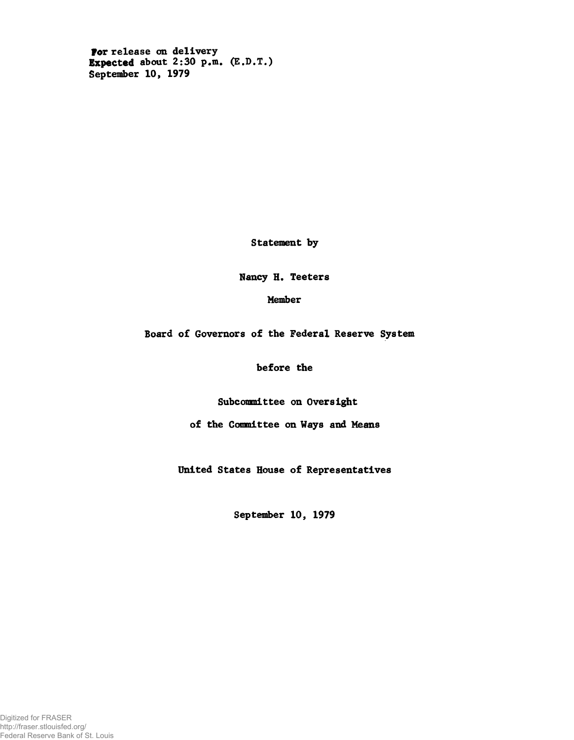**For release on delivery Expected about 2:30 p.m. (E.D.T.) September 10, 1979**

**Statement by**

**Nancy H. Teeters**

**Member**

**Board of Governors of the Federal Reserve System**

**before the**

**Subcommittee on Oversight**

**of the Committee on Ways and Means**

**United States House of Representatives**

September 10, 1979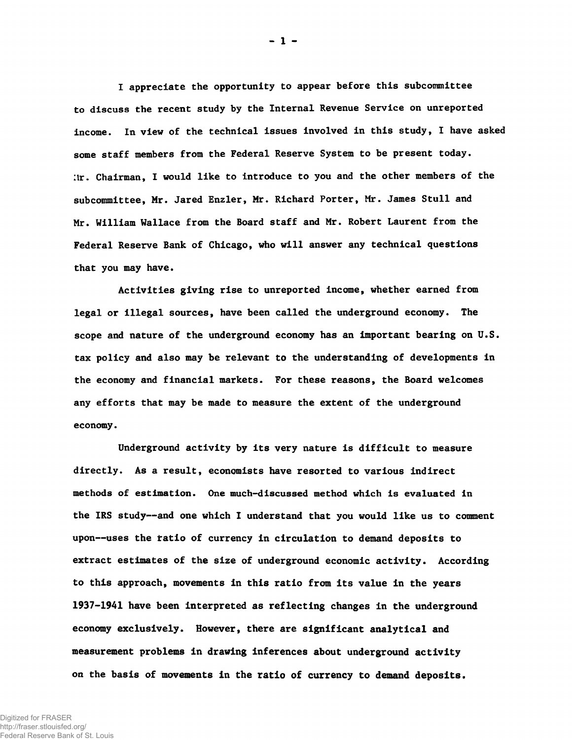**I appreciate the opportunity to appear before this subcommittee to discuss the recent study by the Internal Revenue Service on unreported income. In view of the technical issues involved in this study, I have asked some staff members from the Federal Reserve System to be present today. Ilr. Chairman, I would like to introduce to you and the other members of the subcommittee, Mr. Jared Enzler, Mr. Richard Porter, Mr. James Stull and Mr. William Wallace from the Board staff and Mr. Robert Laurent from the Federal Reserve Bank of Chicago, who will answer any technical questions that you may have.**

**Activities giving rise to unreported income, whether earned from legal or illegal sources, have been called the underground economy. The scope and nature of the underground economy has an important bearing on U.S. tax policy and also may be relevant to the understanding of developments in the economy and financial markets. For these reasons, the Board welcomes any efforts that may be made to measure the extent of the underground economy.**

**Underground activity by its very nature is difficult to measure directly. As a result, economists have resorted to various indirect methods of estimation. One much-discussed method which is evaluated in the IRS study— and one which I understand that you would like us to comment upon— uses the tatio of currency in circulation to demand deposits to extract estimates of the size of underground economic activity. According to this approach, movements in this ratio from its value in the years 1937-1941 have been interpreted as reflecting changes in the underground economy exclusively. However, there are significant analytical and measurement problems in drawing inferences about underground activity on the basis of movements in the ratio of currency to demand deposits.**

**- 1 -**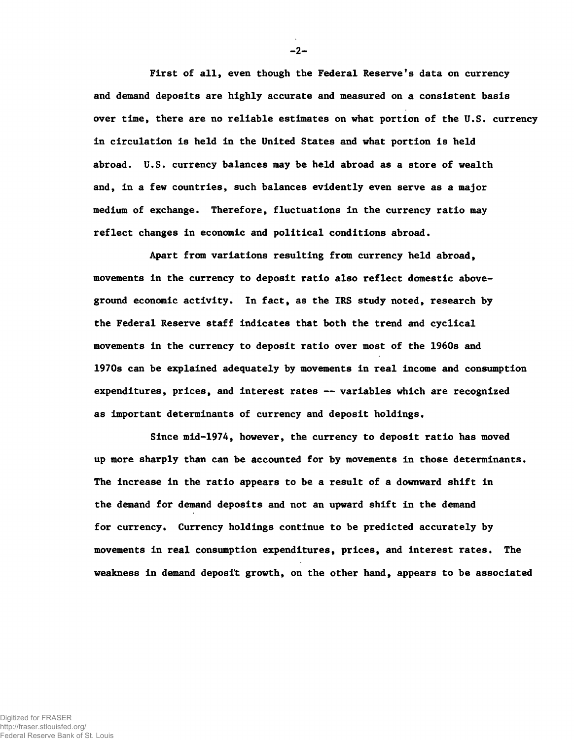**First of all, even though the Federal Reserve's data on currency and demand deposits are highly accurate and measured on a consistent basis over time, there are no reliable estimates on what portion of the U.S. currency in circulation is held in the United States and what portion is held abroad. U.S. currency balances may be held abroad as a store of wealth and, in a few countries, such balances evidently even serve as a major medium of exchange. Therefore, fluctuations in the currency ratio may reflect changes in economic and political conditions abroad.**

**Apart from variations resulting from currency held abroad, movements in the currency to deposit ratio also reflect domestic aboveground economic activity. In fact, as the IRS study noted, research by the Federal Reserve staff indicates that both the trend and cyclical movements in the currency to deposit ratio over most of the 1960s and 1970s can be explained adequately by movements in real income and consumption expenditures, prices, and interest rates — variables which are recognized as important determinants of currency and deposit holdings.**

**Since mid-1974, however, the currency to deposit ratio has moved up more sharply than can be accounted for by movements in those determinants. The increase in the ratio appears to be a result of a downward shift in the demand for demand deposits and not an upward shift in the demand** for currency. Currency holdings continue to be predicted accurately by **movements in real consumption expenditures, prices, and interest rates. The weakness in demand deposit growth, on the other hand, appears to be associated**

**-2-**